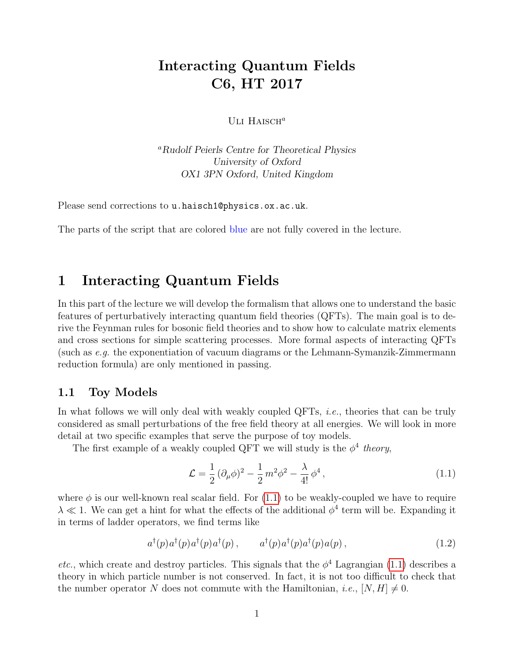# Interacting Quantum Fields C6, HT 2017

ULI  $H$ AISCH<sup>a</sup>

<sup>a</sup>Rudolf Peierls Centre for Theoretical Physics University of Oxford OX1 3PN Oxford, United Kingdom

Please send corrections to u.haisch1@physics.ox.ac.uk.

The parts of the script that are colored blue are not fully covered in the lecture.

## 1 Interacting Quantum Fields

In this part of the lecture we will develop the formalism that allows one to understand the basic features of perturbatively interacting quantum field theories (QFTs). The main goal is to derive the Feynman rules for bosonic field theories and to show how to calculate matrix elements and cross sections for simple scattering processes. More formal aspects of interacting QFTs (such as e.g. the exponentiation of vacuum diagrams or the Lehmann-Symanzik-Zimmermann reduction formula) are only mentioned in passing.

### 1.1 Toy Models

In what follows we will only deal with weakly coupled QFTs, *i.e.*, theories that can be truly considered as small perturbations of the free field theory at all energies. We will look in more detail at two specific examples that serve the purpose of toy models.

The first example of a weakly coupled QFT we will study is the  $\phi^4$  theory,

<span id="page-0-0"></span>
$$
\mathcal{L} = \frac{1}{2} (\partial_{\mu} \phi)^2 - \frac{1}{2} m^2 \phi^2 - \frac{\lambda}{4!} \phi^4, \qquad (1.1)
$$

where  $\phi$  is our well-known real scalar field. For [\(1.1\)](#page-0-0) to be weakly-coupled we have to require  $\lambda \ll 1$ . We can get a hint for what the effects of the additional  $\phi^4$  term will be. Expanding it in terms of ladder operators, we find terms like

$$
a^{\dagger}(p)a^{\dagger}(p)a^{\dagger}(p)a^{\dagger}(p), \qquad a^{\dagger}(p)a^{\dagger}(p)a^{\dagger}(p)a(p), \qquad (1.2)
$$

*etc.*, which create and destroy particles. This signals that the  $\phi^4$  Lagrangian [\(1.1\)](#page-0-0) describes a theory in which particle number is not conserved. In fact, it is not too difficult to check that the number operator N does not commute with the Hamiltonian, *i.e.*,  $[N, H] \neq 0$ .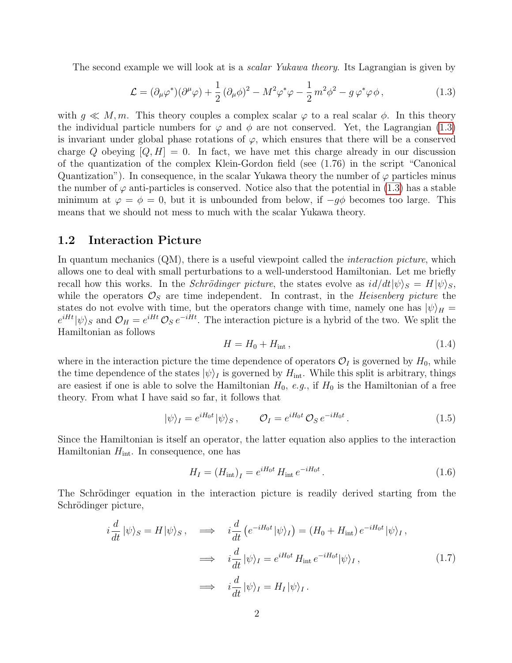The second example we will look at is a *scalar Yukawa theory*. Its Lagrangian is given by

<span id="page-1-0"></span>
$$
\mathcal{L} = (\partial_{\mu}\varphi^*)(\partial^{\mu}\varphi) + \frac{1}{2}(\partial_{\mu}\phi)^2 - M^2\varphi^*\varphi - \frac{1}{2}m^2\phi^2 - g\varphi^*\varphi\phi, \qquad (1.3)
$$

with  $q \ll M, m$ . This theory couples a complex scalar  $\varphi$  to a real scalar  $\phi$ . In this theory the individual particle numbers for  $\varphi$  and  $\phi$  are not conserved. Yet, the Lagrangian [\(1.3\)](#page-1-0) is invariant under global phase rotations of  $\varphi$ , which ensures that there will be a conserved charge Q obeying  $[Q, H] = 0$ . In fact, we have met this charge already in our discussion of the quantization of the complex Klein-Gordon field (see (1.76) in the script "Canonical Quantization"). In consequence, in the scalar Yukawa theory the number of  $\varphi$  particles minus the number of  $\varphi$  anti-particles is conserved. Notice also that the potential in [\(1.3\)](#page-1-0) has a stable minimum at  $\varphi = \phi = 0$ , but it is unbounded from below, if  $-q\phi$  becomes too large. This means that we should not mess to much with the scalar Yukawa theory.

### 1.2 Interaction Picture

In quantum mechanics (QM), there is a useful viewpoint called the *interaction picture*, which allows one to deal with small perturbations to a well-understood Hamiltonian. Let me briefly recall how this works. In the *Schrödinger picture*, the states evolve as  $i d/dt |\psi\rangle_S = H |\psi\rangle_S$ , while the operators  $\mathcal{O}_S$  are time independent. In contrast, in the *Heisenberg picture* the states do not evolve with time, but the operators change with time, namely one has  $|\psi\rangle_H =$  $e^{iHt}|\psi\rangle_S$  and  $\mathcal{O}_H = e^{iHt}\mathcal{O}_S e^{-iHt}$ . The interaction picture is a hybrid of the two. We split the Hamiltonian as follows

<span id="page-1-1"></span>
$$
H = H_0 + H_{\text{int}} ,\t\t(1.4)
$$

where in the interaction picture the time dependence of operators  $\mathcal{O}_I$  is governed by  $H_0$ , while the time dependence of the states  $|\psi\rangle_I$  is governed by  $H_{\text{int}}$ . While this split is arbitrary, things are easiest if one is able to solve the Hamiltonian  $H_0$ , e.g., if  $H_0$  is the Hamiltonian of a free theory. From what I have said so far, it follows that

$$
|\psi\rangle_I = e^{iH_0t} |\psi\rangle_S , \qquad \mathcal{O}_I = e^{iH_0t} \mathcal{O}_S e^{-iH_0t} . \qquad (1.5)
$$

Since the Hamiltonian is itself an operator, the latter equation also applies to the interaction Hamiltonian  $H_{\text{int}}$ . In consequence, one has

$$
H_I = (H_{\rm int})_I = e^{iH_0t} H_{\rm int} e^{-iH_0t}.
$$
\n(1.6)

The Schrödinger equation in the interaction picture is readily derived starting from the Schrödinger picture,

<span id="page-1-2"></span>
$$
i\frac{d}{dt}|\psi\rangle_{S} = H|\psi\rangle_{S}, \quad \implies \quad i\frac{d}{dt}\left(e^{-iH_{0}t}|\psi\rangle_{I}\right) = (H_{0} + H_{int})e^{-iH_{0}t}|\psi\rangle_{I},
$$
\n
$$
\implies \quad i\frac{d}{dt}|\psi\rangle_{I} = e^{iH_{0}t}H_{int}e^{-iH_{0}t}|\psi\rangle_{I},
$$
\n
$$
\implies \quad i\frac{d}{dt}|\psi\rangle_{I} = H_{I}|\psi\rangle_{I}.
$$
\n(1.7)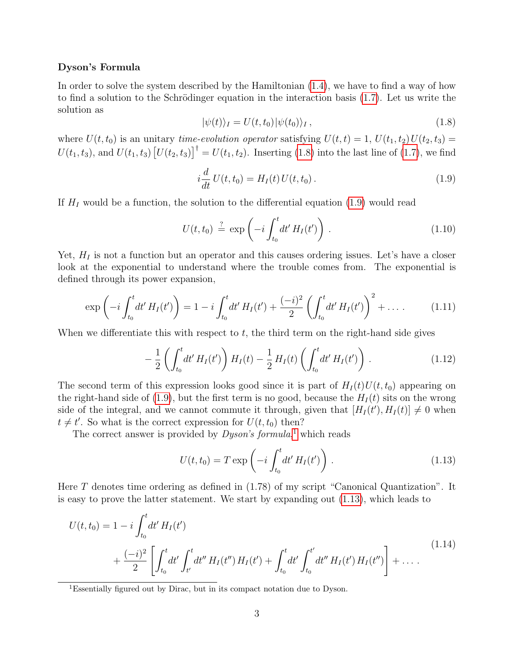#### Dyson's Formula

In order to solve the system described by the Hamiltonian [\(1.4\)](#page-1-1), we have to find a way of how to find a solution to the Schrödinger equation in the interaction basis  $(1.7)$ . Let us write the solution as

<span id="page-2-0"></span>
$$
|\psi(t)\rangle_I = U(t, t_0) |\psi(t_0)\rangle_I, \qquad (1.8)
$$

where  $U(t, t_0)$  is an unitary time-evolution operator satisfying  $U(t, t) = 1, U(t_1, t_2)U(t_2, t_3) =$  $U(t_1, t_3)$ , and  $U(t_1, t_3) [U(t_2, t_3)]^{\dagger} = U(t_1, t_2)$ . Inserting [\(1.8\)](#page-2-0) into the last line of [\(1.7\)](#page-1-2), we find

<span id="page-2-1"></span>
$$
i\frac{d}{dt}U(t,t_0) = H_I(t)U(t,t_0).
$$
\n(1.9)

If  $H_I$  would be a function, the solution to the differential equation [\(1.9\)](#page-2-1) would read

$$
U(t, t_0) \stackrel{?}{=} \exp\left(-i \int_{t_0}^t dt' H_I(t')\right). \tag{1.10}
$$

Yet,  $H_I$  is not a function but an operator and this causes ordering issues. Let's have a closer look at the exponential to understand where the trouble comes from. The exponential is defined through its power expansion,

$$
\exp\left(-i\int_{t_0}^t dt' H_I(t')\right) = 1 - i\int_{t_0}^t dt' H_I(t') + \frac{(-i)^2}{2} \left(\int_{t_0}^t dt' H_I(t')\right)^2 + \dots \tag{1.11}
$$

When we differentiate this with respect to  $t$ , the third term on the right-hand side gives

<span id="page-2-4"></span>
$$
-\frac{1}{2}\left(\int_{t_0}^t dt' H_I(t')\right) H_I(t) - \frac{1}{2} H_I(t) \left(\int_{t_0}^t dt' H_I(t')\right). \tag{1.12}
$$

The second term of this expression looks good since it is part of  $H_I(t)U(t, t_0)$  appearing on the right-hand side of [\(1.9\)](#page-2-1), but the first term is no good, because the  $H<sub>I</sub>(t)$  sits on the wrong side of the integral, and we cannot commute it through, given that  $[H_I(t'), H_I(t)] \neq 0$  when  $t \neq t'$ . So what is the correct expression for  $U(t, t_0)$  then?

The correct answer is provided by *Dyson's formula*,<sup>[1](#page-2-2)</sup> which reads

<span id="page-2-3"></span>
$$
U(t, t_0) = T \exp\left(-i \int_{t_0}^t dt' H_I(t')\right).
$$
 (1.13)

Here T denotes time ordering as defined in  $(1.78)$  of my script "Canonical Quantization". It is easy to prove the latter statement. We start by expanding out [\(1.13\)](#page-2-3), which leads to

$$
U(t, t_0) = 1 - i \int_{t_0}^t dt' H_I(t')
$$
  
+ 
$$
\frac{(-i)^2}{2} \left[ \int_{t_0}^t dt' \int_{t'}^t dt'' H_I(t'') H_I(t') + \int_{t_0}^t dt' \int_{t_0}^{t'} dt'' H_I(t') H_I(t'') \right] + \dots
$$
 (1.14)

<span id="page-2-2"></span><sup>1</sup>Essentially figured out by Dirac, but in its compact notation due to Dyson.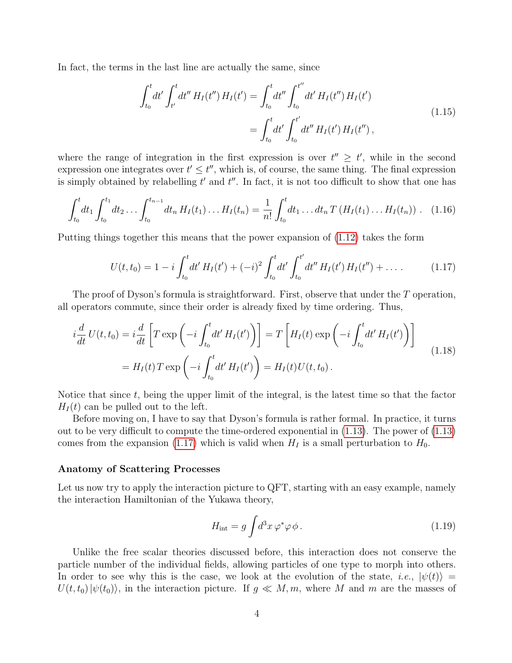In fact, the terms in the last line are actually the same, since

$$
\int_{t_0}^t dt' \int_{t'}^t dt'' H_I(t'') H_I(t') = \int_{t_0}^t dt'' \int_{t_0}^{t''} dt' H_I(t'') H_I(t')
$$
\n
$$
= \int_{t_0}^t dt' \int_{t_0}^{t'} dt'' H_I(t') H_I(t''),
$$
\n(1.15)

where the range of integration in the first expression is over  $t'' \geq t'$ , while in the second expression one integrates over  $t' \leq t''$ , which is, of course, the same thing. The final expression is simply obtained by relabelling  $t'$  and  $t''$ . In fact, it is not too difficult to show that one has

$$
\int_{t_0}^t dt_1 \int_{t_0}^{t_1} dt_2 \dots \int_{t_0}^{t_{n-1}} dt_n H_I(t_1) \dots H_I(t_n) = \frac{1}{n!} \int_{t_0}^t dt_1 \dots dt_n T(H_I(t_1) \dots H_I(t_n)) \quad (1.16)
$$

Putting things together this means that the power expansion of [\(1.12\)](#page-2-4) takes the form

<span id="page-3-0"></span>
$$
U(t,t_0) = 1 - i \int_{t_0}^t dt' H_I(t') + (-i)^2 \int_{t_0}^t dt' \int_{t_0}^{t'} dt'' H_I(t') H_I(t'') + \dots
$$
 (1.17)

The proof of Dyson's formula is straightforward. First, observe that under the T operation, all operators commute, since their order is already fixed by time ordering. Thus,

$$
i\frac{d}{dt}U(t,t_0) = i\frac{d}{dt}\left[T \exp\left(-i\int_{t_0}^t dt' H_I(t')\right)\right] = T\left[H_I(t) \exp\left(-i\int_{t_0}^t dt' H_I(t')\right)\right]
$$

$$
= H_I(t)T \exp\left(-i\int_{t_0}^t dt' H_I(t')\right) = H_I(t)U(t,t_0).
$$
(1.18)

Notice that since t, being the upper limit of the integral, is the latest time so that the factor  $H_I(t)$  can be pulled out to the left.

Before moving on, I have to say that Dyson's formula is rather formal. In practice, it turns out to be very difficult to compute the time-ordered exponential in [\(1.13\)](#page-2-3). The power of [\(1.13\)](#page-2-3) comes from the expansion [\(1.17\)](#page-3-0) which is valid when  $H_I$  is a small perturbation to  $H_0$ .

#### Anatomy of Scattering Processes

Let us now try to apply the interaction picture to QFT, starting with an easy example, namely the interaction Hamiltonian of the Yukawa theory,

<span id="page-3-1"></span>
$$
H_{\rm int} = g \int d^3x \,\varphi^* \varphi \,\phi \,. \tag{1.19}
$$

Unlike the free scalar theories discussed before, this interaction does not conserve the particle number of the individual fields, allowing particles of one type to morph into others. In order to see why this is the case, we look at the evolution of the state, i.e.,  $|\psi(t)\rangle =$  $U(t, t_0)|\psi(t_0)\rangle$ , in the interaction picture. If  $g \ll M, m$ , where M and m are the masses of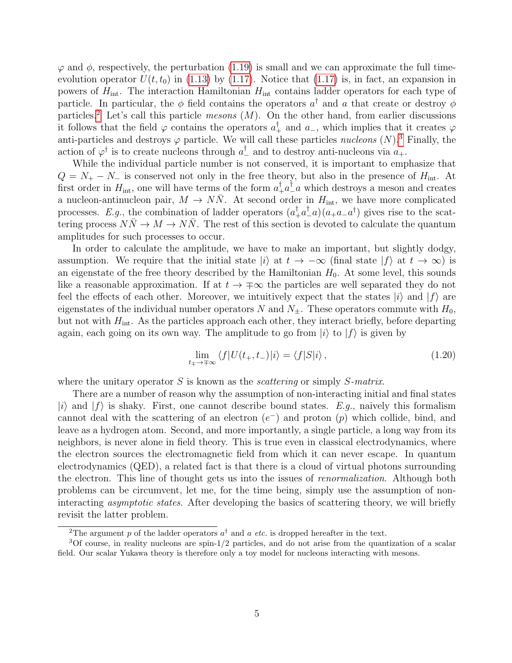$\varphi$  and  $\phi$ , respectively, the perturbation [\(1.19\)](#page-3-1) is small and we can approximate the full timeevolution operator  $U(t, t_0)$  in [\(1.13\)](#page-2-3) by [\(1.17\)](#page-3-0). Notice that (1.17) is, in fact, an expansion in powers of  $H_{\text{int}}$ . The interaction Hamiltonian  $H_{\text{int}}$  contains ladder operators for each type of particle. In particular, the  $\phi$  field contains the operators  $a^{\dagger}$  and a that create or destroy  $\phi$ particles.<sup>[2](#page-4-0)</sup> Let's call this particle mesons  $(M)$ . On the other hand, from earlier discussions it follows that the field  $\varphi$  contains the operators  $a_+^{\dagger}$  and  $a_-$ , which implies that it creates  $\varphi$ anti-particles and destroys  $\varphi$  particle. We will call these particles *nucleons*  $(N)$ <sup>[3](#page-4-1)</sup>. Finally, the action of  $\varphi^{\dagger}$  is to create nucleons through  $a_{-}^{\dagger}$  and to destroy anti-nucleons via  $a_{+}$ .

While the individual particle number is not conserved, it is important to emphasize that  $Q = N_{+} - N_{-}$  is conserved not only in the free theory, but also in the presence of  $H_{\text{int}}$ . At first order in  $H_{\text{int}}$ , one will have terms of the form  $a^{\dagger}_{+} a^{\dagger}_{-} a$  which destroys a meson and creates a nucleon-antinucleon pair,  $M \to N\overline{N}$ . At second order in  $H_{\text{int}}$ , we have more complicated processes. E.g., the combination of ladder operators  $(a_+^{\dagger} a_-^{\dagger} a)(a_+ a_- a^{\dagger})$  gives rise to the scattering process  $N\bar{N} \to M \to N\bar{N}$ . The rest of this section is devoted to calculate the quantum amplitudes for such processes to occur.

In order to calculate the amplitude, we have to make an important, but slightly dodgy, assumption. We require that the initial state  $|i\rangle$  at  $t \to -\infty$  (final state  $|f\rangle$  at  $t \to \infty$ ) is an eigenstate of the free theory described by the Hamiltonian  $H_0$ . At some level, this sounds like a reasonable approximation. If at  $t \to \pm \infty$  the particles are well separated they do not feel the effects of each other. Moreover, we intuitively expect that the states  $|i\rangle$  and  $|f\rangle$  are eigenstates of the individual number operators N and  $N_{\pm}$ . These operators commute with  $H_0$ , but not with  $H_{\text{int}}$ . As the particles approach each other, they interact briefly, before departing again, each going on its own way. The amplitude to go from  $|i\rangle$  to  $|f\rangle$  is given by

<span id="page-4-2"></span>
$$
\lim_{t_{+}\to+\infty} \langle f|U(t_{+},t_{-})|i\rangle = \langle f|S|i\rangle, \qquad (1.20)
$$

where the unitary operator S is known as the *scattering* or simply  $S$ -matrix.

There are a number of reason why the assumption of non-interacting initial and final states  $|i\rangle$  and  $|f\rangle$  is shaky. First, one cannot describe bound states. E.q., naively this formalism cannot deal with the scattering of an electron  $(e^-)$  and proton  $(p)$  which collide, bind, and leave as a hydrogen atom. Second, and more importantly, a single particle, a long way from its neighbors, is never alone in field theory. This is true even in classical electrodynamics, where the electron sources the electromagnetic field from which it can never escape. In quantum electrodynamics (QED), a related fact is that there is a cloud of virtual photons surrounding the electron. This line of thought gets us into the issues of *renormalization*. Although both problems can be circumvent, let me, for the time being, simply use the assumption of noninteracting *asymptotic states*. After developing the basics of scattering theory, we will briefly revisit the latter problem.

<span id="page-4-1"></span><span id="page-4-0"></span><sup>&</sup>lt;sup>2</sup>The argument p of the ladder operators  $a^{\dagger}$  and a *etc.* is dropped hereafter in the text.

<sup>3</sup>Of course, in reality nucleons are spin-1/2 particles, and do not arise from the quantization of a scalar field. Our scalar Yukawa theory is therefore only a toy model for nucleons interacting with mesons.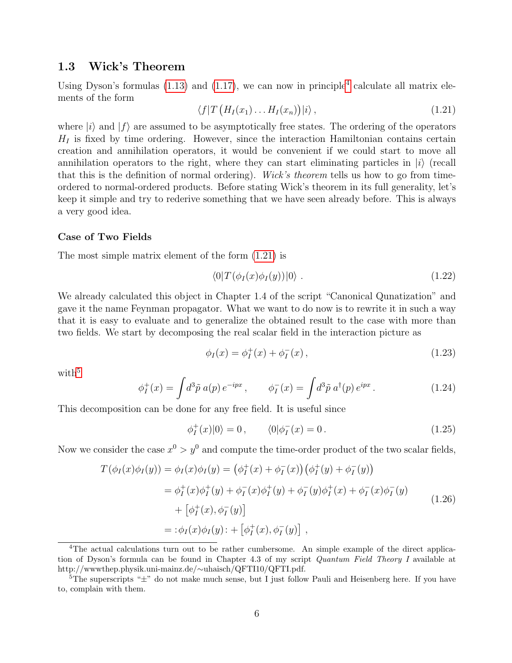### 1.3 Wick's Theorem

Using Dyson's formulas  $(1.13)$  and  $(1.17)$ , we can now in principle<sup>[4](#page-5-0)</sup> calculate all matrix elements of the form

<span id="page-5-1"></span>
$$
\langle f|T\left(H_I(x_1)\dots H_I(x_n)\right)|i\rangle\,,\tag{1.21}
$$

where  $|i\rangle$  and  $|f\rangle$  are assumed to be asymptotically free states. The ordering of the operators  $H_I$  is fixed by time ordering. However, since the interaction Hamiltonian contains certain creation and annihilation operators, it would be convenient if we could start to move all annihilation operators to the right, where they can start eliminating particles in  $|i\rangle$  (recall that this is the definition of normal ordering). Wick's theorem tells us how to go from timeordered to normal-ordered products. Before stating Wick's theorem in its full generality, let's keep it simple and try to rederive something that we have seen already before. This is always a very good idea.

#### Case of Two Fields

The most simple matrix element of the form [\(1.21\)](#page-5-1) is

<span id="page-5-4"></span>
$$
\langle 0|T(\phi_I(x)\phi_I(y))|0\rangle . \tag{1.22}
$$

We already calculated this object in Chapter 1.4 of the script "Canonical Qunatization" and gave it the name Feynman propagator. What we want to do now is to rewrite it in such a way that it is easy to evaluate and to generalize the obtained result to the case with more than two fields. We start by decomposing the real scalar field in the interaction picture as

$$
\phi_I(x) = \phi_I^+(x) + \phi_I^-(x) \,, \tag{1.23}
$$

with<sup>[5](#page-5-2)</sup>

$$
\phi_I^+(x) = \int d^3 \tilde{p} \ a(p) \, e^{-ipx} \,, \qquad \phi_I^-(x) = \int d^3 \tilde{p} \ a^\dagger(p) \, e^{ipx} \,. \tag{1.24}
$$

This decomposition can be done for any free field. It is useful since

$$
\phi_I^+(x)|0\rangle = 0\,, \qquad \langle 0|\phi_I^-(x) = 0\,.\tag{1.25}
$$

Now we consider the case  $x^0 > y^0$  and compute the time-order product of the two scalar fields,

<span id="page-5-3"></span>
$$
T(\phi_I(x)\phi_I(y)) = \phi_I(x)\phi_I(y) = (\phi_I^+(x) + \phi_I^-(x))(\phi_I^+(y) + \phi_I^-(y))
$$
  
\n
$$
= \phi_I^+(x)\phi_I^+(y) + \phi_I^-(x)\phi_I^+(y) + \phi_I^-(y)\phi_I^+(x) + \phi_I^-(x)\phi_I^-(y)
$$
  
\n
$$
+ [\phi_I^+(x), \phi_I^-(y)]
$$
  
\n
$$
= : \phi_I(x)\phi_I(y) : + [\phi_I^+(x), \phi_I^-(y)]
$$
, (1.26)

<span id="page-5-0"></span><sup>&</sup>lt;sup>4</sup>The actual calculations turn out to be rather cumbersome. An simple example of the direct application of Dyson's formula can be found in Chapter 4.3 of my script *Quantum Field Theory I* available at http://wwwthep.physik.uni-mainz.de/∼uhaisch/QFTI10/QFTI.pdf.

<span id="page-5-2"></span> $5$ The superscripts " $\pm$ " do not make much sense, but I just follow Pauli and Heisenberg here. If you have to, complain with them.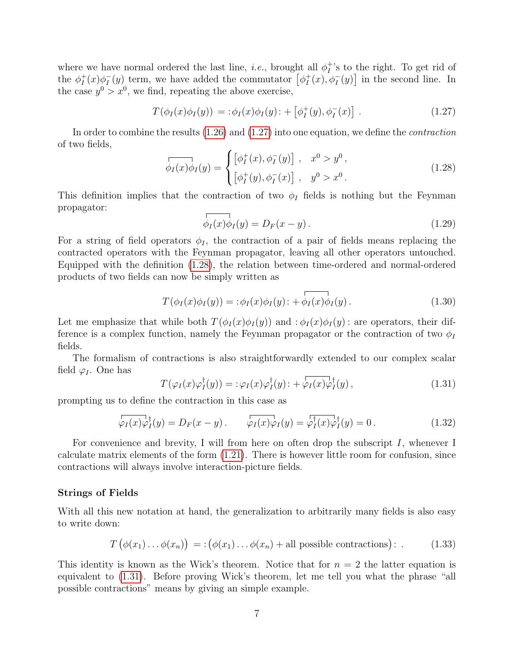where we have normal ordered the last line, *i.e.*, brought all  $\phi_I^+$  $I_I^+$ 's to the right. To get rid of the  $\phi_I^+$  $I^+(x)\phi_I^ I_{I}(y)$  term, we have added the commutator  $\left[\phi_{I}^{+}\right]$  $I_I^+(x), \phi_I^-(y)$  in the second line. In the case  $y^0 > x^0$ , we find, repeating the above exercise,

<span id="page-6-0"></span>
$$
T(\phi_I(x)\phi_I(y)) = \div \phi_I(x)\phi_I(y) \div \left[\phi_I^+(y), \phi_I^-(x)\right] \ . \tag{1.27}
$$

In order to combine the results  $(1.26)$  and  $(1.27)$  into one equation, we define the *contraction* of two fields,

<span id="page-6-1"></span>
$$
\overrightarrow{\phi_I(x)\phi_I(y)} = \begin{cases} [\phi_I^+(x), \phi_I^-(y)] , & x^0 > y^0 , \\ [\phi_I^+(y), \phi_I^-(x)] , & y^0 > x^0 . \end{cases}
$$
(1.28)

This definition implies that the contraction of two  $\phi_I$  fields is nothing but the Feynman propagator:

$$
\overrightarrow{\phi_I(x)\phi_I(y)} = D_F(x - y). \tag{1.29}
$$

For a string of field operators  $\phi_I$ , the contraction of a pair of fields means replacing the contracted operators with the Feynman propagator, leaving all other operators untouched. Equipped with the definition [\(1.28\)](#page-6-1), the relation between time-ordered and normal-ordered products of two fields can now be simply written as

$$
T(\phi_I(x)\phi_I(y)) = \div \phi_I(x)\phi_I(y)\div \overline{\phi_I(x)\phi_I(y)}\,. \tag{1.30}
$$

Let me emphasize that while both  $T(\phi_I(x)\phi_I(y))$  and  $:\phi_I(x)\phi_I(y)$ : are operators, their difference is a complex function, namely the Feynman propagator or the contraction of two  $\phi_I$ fields.

The formalism of contractions is also straightforwardly extended to our complex scalar field  $\varphi_I$ . One has

<span id="page-6-2"></span>
$$
T(\varphi_I(x)\varphi_I^{\dagger}(y)) = :\varphi_I(x)\varphi_I^{\dagger}(y) : + \varphi_I(x)\varphi_I^{\dagger}(y) , \qquad (1.31)
$$

prompting us to define the contraction in this case as

$$
\varphi_I(x)\varphi_I^{\dagger}(y) = D_F(x - y) \qquad \varphi_I(x)\varphi_I(y) = \varphi_I^{\dagger}(x)\varphi_I^{\dagger}(y) = 0 \tag{1.32}
$$

For convenience and brevity, I will from here on often drop the subscript  $I$ , whenever I calculate matrix elements of the form [\(1.21\)](#page-5-1). There is however little room for confusion, since contractions will always involve interaction-picture fields.

#### Strings of Fields

With all this new notation at hand, the generalization to arbitrarily many fields is also easy to write down:

<span id="page-6-3"></span>
$$
T(\phi(x_1)\dots\phi(x_n)) = :(\phi(x_1)\dots\phi(x_n) + \text{all possible contractions}):
$$
 (1.33)

This identity is known as the Wick's theorem. Notice that for  $n = 2$  the latter equation is equivalent to [\(1.31\)](#page-6-2). Before proving Wick's theorem, let me tell you what the phrase "all possible contractions" means by giving an simple example.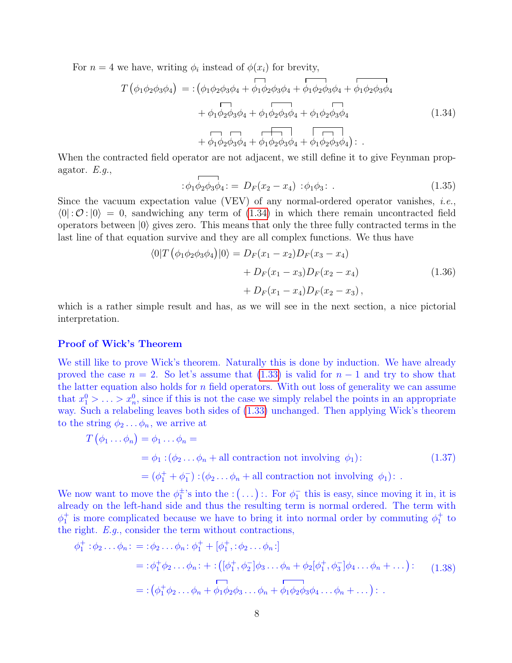<span id="page-7-0"></span>For  $n = 4$  we have, writing  $\phi_i$  instead of  $\phi(x_i)$  for brevity,

$$
T(\phi_1 \phi_2 \phi_3 \phi_4) = :(\phi_1 \phi_2 \phi_3 \phi_4 + \phi_1 \phi_2 \phi_3 \phi_4 + \phi_1 \phi_2 \phi_3 \phi_4 + \phi_1 \phi_2 \phi_3 \phi_4 + \phi_1 \phi_2 \phi_3 \phi_4 + \phi_1 \phi_2 \phi_3 \phi_4 + \phi_1 \phi_2 \phi_3 \phi_4 + \phi_1 \phi_2 \phi_3 \phi_4 + \phi_1 \phi_2 \phi_3 \phi_4 + \phi_1 \phi_2 \phi_3 \phi_4):
$$
\n(1.34)

When the contracted field operator are not adjacent, we still define it to give Feynman propagator.  $E.g.,$ 

$$
\begin{aligned}\n\therefore \phi_1 \phi_2 \phi_3 \phi_4 &= D_F(x_2 - x_4) \; : \phi_1 \phi_3 \\
& \therefore \tag{1.35}\n\end{aligned}
$$

Since the vacuum expectation value (VEV) of any normal-ordered operator vanishes, *i.e.*,  $\langle 0| : \mathcal{O} : |0\rangle = 0$ , sandwiching any term of [\(1.34\)](#page-7-0) in which there remain uncontracted field operators between  $|0\rangle$  gives zero. This means that only the three fully contracted terms in the last line of that equation survive and they are all complex functions. We thus have

$$
\langle 0|T(\phi_1\phi_2\phi_3\phi_4)|0\rangle = D_F(x_1 - x_2)D_F(x_3 - x_4)
$$
  
+ 
$$
D_F(x_1 - x_3)D_F(x_2 - x_4)
$$
  
+ 
$$
D_F(x_1 - x_4)D_F(x_2 - x_3),
$$
 (1.36)

<span id="page-7-3"></span>which is a rather simple result and has, as we will see in the next section, a nice pictorial interpretation.

#### Proof of Wick's Theorem

We still like to prove Wick's theorem. Naturally this is done by induction. We have already proved the case  $n = 2$ . So let's assume that [\(1.33\)](#page-6-3) is valid for  $n - 1$  and try to show that the latter equation also holds for  $n$  field operators. With out loss of generality we can assume that  $x_1^0 > \ldots > x_n^0$ , since if this is not the case we simply relabel the points in an appropriate way. Such a relabeling leaves both sides of [\(1.33\)](#page-6-3) unchanged. Then applying Wick's theorem to the string  $\phi_2 \ldots \phi_n$ , we arrive at

<span id="page-7-2"></span>
$$
T(\phi_1 \dots \phi_n) = \phi_1 \dots \phi_n =
$$
  
=  $\phi_1 : (\phi_2 \dots \phi_n + \text{all contraction not involving } \phi_1):$   
=  $(\phi_1^+ + \phi_1^-) : (\phi_2 \dots \phi_n + \text{all contraction not involving } \phi_1):$  (1.37)

We now want to move the  $\phi_1^{\pm}$ 's into the :  $(\ldots)$ :. For  $\phi_1^-$  this is easy, since moving it in, it is already on the left-hand side and thus the resulting term is normal ordered. The term with  $\phi_1^+$  is more complicated because we have to bring it into normal order by commuting  $\phi_1^+$  to the right. E.g., consider the term without contractions,

<span id="page-7-1"></span>
$$
\phi_1^+ : \phi_2 \dots \phi_n : = : \phi_2 \dots \phi_n : \phi_1^+ + [\phi_1^+, : \phi_2 \dots \phi_n :]
$$
  
= :  $\phi_1^+ \phi_2 \dots \phi_n : + : ([\phi_1^+, \phi_2^-] \phi_3 \dots \phi_n + \phi_2[\phi_1^+, \phi_3^-] \phi_4 \dots \phi_n + \dots) : (1.38)$   
= :  $(\phi_1^+ \phi_2 \dots \phi_n + \phi_1 \phi_2 \phi_3 \dots \phi_n + \phi_1 \phi_2 \phi_3 \phi_4 \dots \phi_n + \dots) : .$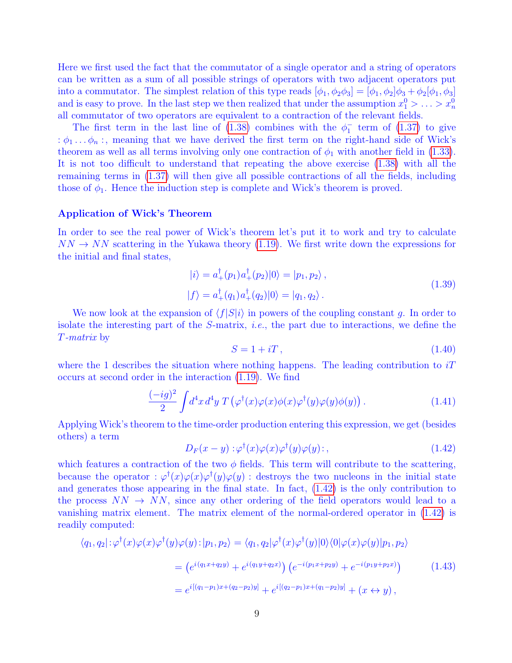Here we first used the fact that the commutator of a single operator and a string of operators can be written as a sum of all possible strings of operators with two adjacent operators put into a commutator. The simplest relation of this type reads  $[\phi_1, \phi_2\phi_3] = [\phi_1, \phi_2]\phi_3 + \phi_2[\phi_1, \phi_3]$ and is easy to prove. In the last step we then realized that under the assumption  $x_1^0 > \ldots > x_n^0$ all commutator of two operators are equivalent to a contraction of the relevant fields.

The first term in the last line of [\(1.38\)](#page-7-1) combines with the  $\phi_1^-$  term of [\(1.37\)](#page-7-2) to give :  $\phi_1 \dots \phi_n$ ; meaning that we have derived the first term on the right-hand side of Wick's theorem as well as all terms involving only one contraction of  $\phi_1$  with another field in [\(1.33\)](#page-6-3). It is not too difficult to understand that repeating the above exercise [\(1.38\)](#page-7-1) with all the remaining terms in [\(1.37\)](#page-7-2) will then give all possible contractions of all the fields, including those of  $\phi_1$ . Hence the induction step is complete and Wick's theorem is proved.

#### <span id="page-8-3"></span>Application of Wick's Theorem

In order to see the real power of Wick's theorem let's put it to work and try to calculate  $NN \rightarrow NN$  scattering in the Yukawa theory [\(1.19\)](#page-3-1). We first write down the expressions for the initial and final states,

$$
|i\rangle = a_{+}^{\dagger}(p_{1})a_{+}^{\dagger}(p_{2})|0\rangle = |p_{1}, p_{2}\rangle, |f\rangle = a_{+}^{\dagger}(q_{1})a_{+}^{\dagger}(q_{2})|0\rangle = |q_{1}, q_{2}\rangle.
$$
 (1.39)

We now look at the expansion of  $\langle f|S|i\rangle$  in powers of the coupling constant g. In order to isolate the interesting part of the  $S$ -matrix, *i.e.*, the part due to interactions, we define the T-matrix by

<span id="page-8-4"></span>
$$
S = 1 + iT, \tag{1.40}
$$

where the 1 describes the situation where nothing happens. The leading contribution to  $iT$ occurs at second order in the interaction [\(1.19\)](#page-3-1). We find

<span id="page-8-1"></span>
$$
\frac{(-ig)^2}{2} \int d^4x \, d^4y \, T\left(\varphi^\dagger(x)\varphi(x)\phi(x)\varphi^\dagger(y)\varphi(y)\phi(y)\right). \tag{1.41}
$$

Applying Wick's theorem to the time-order production entering this expression, we get (besides others) a term

<span id="page-8-0"></span>
$$
D_F(x-y): \varphi^\dagger(x)\varphi(x)\varphi^\dagger(y)\varphi(y):,\tag{1.42}
$$

which features a contraction of the two  $\phi$  fields. This term will contribute to the scattering, because the operator :  $\varphi^{\dagger}(x)\varphi(x)\varphi^{\dagger}(y)\varphi(y)$  : destroys the two nucleons in the initial state and generates those appearing in the final state. In fact, [\(1.42\)](#page-8-0) is the only contribution to the process  $NN \rightarrow NN$ , since any other ordering of the field operators would lead to a vanishing matrix element. The matrix element of the normal-ordered operator in [\(1.42\)](#page-8-0) is readily computed:

<span id="page-8-2"></span>
$$
\langle q_1, q_2 | : \varphi^{\dagger}(x) \varphi(x) \varphi^{\dagger}(y) \varphi(y) : | p_1, p_2 \rangle = \langle q_1, q_2 | \varphi^{\dagger}(x) \varphi^{\dagger}(y) | 0 \rangle \langle 0 | \varphi(x) \varphi(y) | p_1, p_2 \rangle
$$
  
\n
$$
= \left( e^{i(q_1 x + q_2 y)} + e^{i(q_1 y + q_2 x)} \right) \left( e^{-i(p_1 x + p_2 y)} + e^{-i(p_1 y + p_2 x)} \right)
$$
  
\n
$$
= e^{i[(q_1 - p_1)x + (q_2 - p_2)y]} + e^{i[(q_2 - p_1)x + (q_1 - p_2)y]} + (x \leftrightarrow y),
$$
\n(1.43)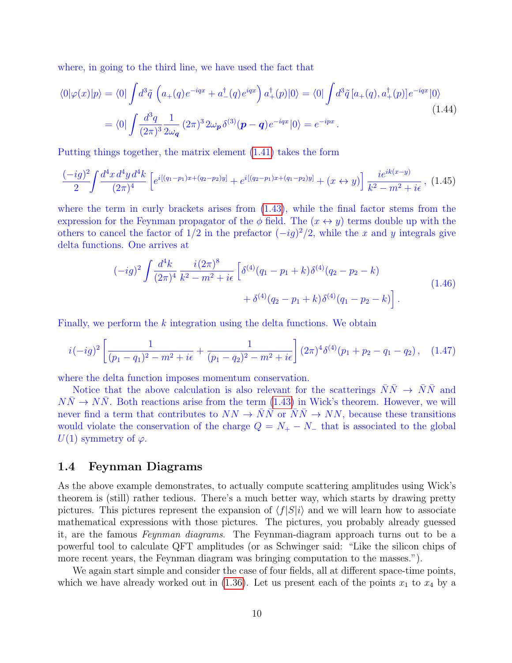where, in going to the third line, we have used the fact that

$$
\langle 0|\varphi(x)|p\rangle = \langle 0|\int d^3\tilde{q}\left(a_+(q)e^{-iqx} + a_-(q)e^{iqx}\right)a_+^{\dagger}(p)|0\rangle = \langle 0|\int d^3\tilde{q}\left[a_+(q), a_+^{\dagger}(p)\right]e^{-iqx}|0\rangle
$$
  

$$
= \langle 0|\int \frac{d^3q}{(2\pi)^3} \frac{1}{2\omega_q} (2\pi)^3 2\omega_p \delta^{(3)}(\mathbf{p} - \mathbf{q})e^{-iqx}|0\rangle = e^{-ipx}.
$$
 (1.44)

Putting things together, the matrix element [\(1.41\)](#page-8-1) takes the form

$$
\frac{(-ig)^2}{2} \int \frac{d^4x \, d^4y \, d^4k}{(2\pi)^4} \left[ e^{i[(q_1-p_1)x + (q_2-p_2)y]} + e^{i[(q_2-p_1)x + (q_1-p_2)y]} + (x \leftrightarrow y) \right] \frac{i e^{ik(x-y)}}{k^2 - m^2 + i\epsilon}, \tag{1.45}
$$

where the term in curly brackets arises from [\(1.43\)](#page-8-2), while the final factor stems from the expression for the Feynman propagator of the  $\phi$  field. The  $(x \leftrightarrow y)$  terms double up with the others to cancel the factor of  $1/2$  in the prefactor  $(-ig)^2/2$ , while the x and y integrals give delta functions. One arrives at

$$
(-ig)^{2} \int \frac{d^{4}k}{(2\pi)^{4}} \frac{i(2\pi)^{8}}{k^{2} - m^{2} + i\epsilon} \left[ \delta^{(4)}(q_{1} - p_{1} + k) \delta^{(4)}(q_{2} - p_{2} - k) + \delta^{(4)}(q_{2} - p_{1} + k) \delta^{(4)}(q_{1} - p_{2} - k) \right].
$$
\n(1.46)

Finally, we perform the  $k$  integration using the delta functions. We obtain

<span id="page-9-0"></span>
$$
i(-ig)^2 \left[ \frac{1}{(p_1 - q_1)^2 - m^2 + i\epsilon} + \frac{1}{(p_1 - q_2)^2 - m^2 + i\epsilon} \right] (2\pi)^4 \delta^{(4)}(p_1 + p_2 - q_1 - q_2), \quad (1.47)
$$

where the delta function imposes momentum conservation.

Notice that the above calculation is also relevant for the scatterings  $\bar{N}\bar{N} \rightarrow \bar{N}\bar{N}$  and  $NN \rightarrow NN$ . Both reactions arise from the term [\(1.43\)](#page-8-2) in Wick's theorem. However, we will never find a term that contributes to  $NN \rightarrow \overline{NN}$  or  $\overline{NN} \rightarrow NN$ , because these transitions would violate the conservation of the charge  $Q = N_{+} - N_{-}$  that is associated to the global  $U(1)$  symmetry of  $\varphi$ .

### 1.4 Feynman Diagrams

As the above example demonstrates, to actually compute scattering amplitudes using Wick's theorem is (still) rather tedious. There's a much better way, which starts by drawing pretty pictures. This pictures represent the expansion of  $\langle f|S|i\rangle$  and we will learn how to associate mathematical expressions with those pictures. The pictures, you probably already guessed it, are the famous Feynman diagrams. The Feynman-diagram approach turns out to be a powerful tool to calculate QFT amplitudes (or as Schwinger said: "Like the silicon chips of more recent years, the Feynman diagram was bringing computation to the masses.").

We again start simple and consider the case of four fields, all at different space-time points, which we have already worked out in [\(1.36\)](#page-7-3). Let us present each of the points  $x_1$  to  $x_4$  by a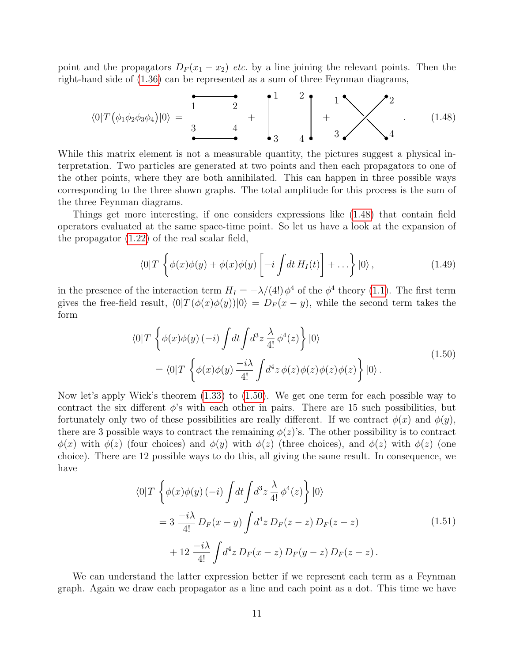point and the propagators  $D_F(x_1 - x_2)$  etc. by a line joining the relevant points. Then the right-hand side of [\(1.36\)](#page-7-3) can be represented as a sum of three Feynman diagrams,

<span id="page-10-0"></span>
$$
\langle 0|T(\phi_1\phi_2\phi_3\phi_4)|0\rangle = \begin{array}{c|c} \bullet & \bullet & \bullet & \bullet \\ \hline 1 & 2 & 2 \\ 3 & 4 & 3 \end{array} + \begin{array}{c} 1 & 2 \\ 1 & 2 \\ 3 & 4 \end{array} + \begin{array}{c} 1 \\ 1 \\ 3 \end{array} + \begin{array}{c} 2 \\ 2 \\ 4 \end{array} \qquad (1.48)
$$

While this matrix element is not a measurable quantity, the pictures suggest a physical interpretation. Two particles are generated at two points and then each propagators to one of the other points, where they are both annihilated. This can happen in three possible ways corresponding to the three shown graphs. The total amplitude for this process is the sum of the three Feynman diagrams.

Things get more interesting, if one considers expressions like [\(1.48\)](#page-10-0) that contain field operators evaluated at the same space-time point. So let us have a look at the expansion of the propagator [\(1.22\)](#page-5-4) of the real scalar field,

$$
\langle 0|T\left\{\phi(x)\phi(y)+\phi(x)\phi(y)\left[-i\int dt\,H_I(t)\right]+\ldots\right\}|0\rangle,\qquad(1.49)
$$

in the presence of the interaction term  $H_I = -\lambda/(4!) \phi^4$  of the  $\phi^4$  theory [\(1.1\)](#page-0-0). The first term gives the free-field result,  $\langle 0|T (\phi(x)\phi(y))|0\rangle = D_F (x - y)$ , while the second term takes the form

$$
\langle 0|T \left\{ \phi(x)\phi(y) \left(-i\right) \int dt \int d^3z \frac{\lambda}{4!} \phi^4(z) \right\} |0\rangle
$$
  
=\langle 0|T \left\{ \phi(x)\phi(y) \frac{-i\lambda}{4!} \int d^4z \phi(z)\phi(z)\phi(z)\phi(z) \right\} |0\rangle. (1.50)

<span id="page-10-1"></span>Now let's apply Wick's theorem [\(1.33\)](#page-6-3) to [\(1.50\)](#page-10-1). We get one term for each possible way to contract the six different  $\phi$ 's with each other in pairs. There are 15 such possibilities, but fortunately only two of these possibilities are really different. If we contract  $\phi(x)$  and  $\phi(y)$ , there are 3 possible ways to contract the remaining  $\phi(z)$ 's. The other possibility is to contract  $\phi(x)$  with  $\phi(z)$  (four choices) and  $\phi(y)$  with  $\phi(z)$  (three choices), and  $\phi(z)$  with  $\phi(z)$  (one choice). There are 12 possible ways to do this, all giving the same result. In consequence, we have

$$
\langle 0|T \left\{ \phi(x)\phi(y) \left(-i\right) \int dt \int d^3z \frac{\lambda}{4!} \phi^4(z) \right\} |0\rangle
$$
  
=  $3 \frac{-i\lambda}{4!} D_F(x - y) \int d^4z D_F(z - z) D_F(z - z)$  (1.51)  
+  $12 \frac{-i\lambda}{4!} \int d^4z D_F(x - z) D_F(y - z) D_F(z - z)$ .

<span id="page-10-2"></span>We can understand the latter expression better if we represent each term as a Feynman graph. Again we draw each propagator as a line and each point as a dot. This time we have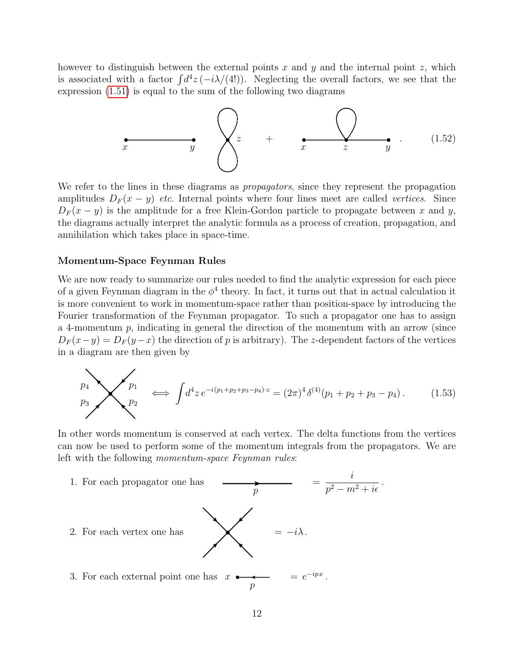however to distinguish between the external points x and y and the internal point z, which is associated with a factor  $\int d^4z \, (-i\lambda/(4!) )$ . Neglecting the overall factors, we see that the expression [\(1.51\)](#page-10-2) is equal to the sum of the following two diagrams



We refer to the lines in these diagrams as *propagators*, since they represent the propagation amplitudes  $D_F(x - y)$  etc. Internal points where four lines meet are called vertices. Since  $D_F(x-y)$  is the amplitude for a free Klein-Gordon particle to propagate between x and y, the diagrams actually interpret the analytic formula as a process of creation, propagation, and annihilation which takes place in space-time.

#### Momentum-Space Feynman Rules

We are now ready to summarize our rules needed to find the analytic expression for each piece of a given Feynman diagram in the  $\phi^4$  theory. In fact, it turns out that in actual calculation it is more convenient to work in momentum-space rather than position-space by introducing the Fourier transformation of the Feynman propagator. To such a propagator one has to assign a 4-momentum  $p$ , indicating in general the direction of the momentum with an arrow (since  $D_F(x-y) = D_F(y-x)$  the direction of p is arbitrary). The z-dependent factors of the vertices in a diagram are then given by

$$
p_1 \longrightarrow p_2 \longrightarrow p_1 \iff \int d^4 z \, e^{-i(p_1+p_2+p_3-p_4)\cdot z} = (2\pi)^4 \delta^{(4)}(p_1+p_2+p_3-p_4). \tag{1.53}
$$

In other words momentum is conserved at each vertex. The delta functions from the vertices can now be used to perform some of the momentum integrals from the propagators. We are left with the following momentum-space Feynman rules:

1. For each propagator one has = i  $\frac{\epsilon}{p^2-m^2+i\epsilon}$ .  $\boldsymbol{p}$ 2. For each vertex one has  $\blacktriangleright \blacktriangleleft$  =  $-i\lambda$ . 3. For each external point one has  $x \rightarrow \infty$  =  $e^{-ipx}$ . p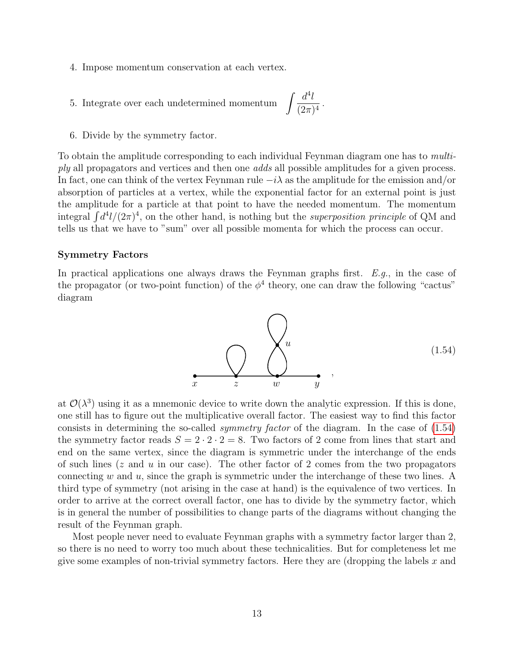- 4. Impose momentum conservation at each vertex.
- $5.$  Integrate over each undetermined momentum  $\,$  $d^4l$  $\frac{\alpha}{(2\pi)^4}$ .
- 6. Divide by the symmetry factor.

To obtain the amplitude corresponding to each individual Feynman diagram one has to multiply all propagators and vertices and then one *adds* all possible amplitudes for a given process. In fact, one can think of the vertex Feynman rule  $-i\lambda$  as the amplitude for the emission and/or absorption of particles at a vertex, while the exponential factor for an external point is just the amplitude for a particle at that point to have the needed momentum. The momentum integral  $\int d^4 l/(2\pi)^4$ , on the other hand, is nothing but the *superposition principle* of QM and tells us that we have to "sum" over all possible momenta for which the process can occur.

#### Symmetry Factors

In practical applications one always draws the Feynman graphs first.  $E.g.,$  in the case of the propagator (or two-point function) of the  $\phi^4$  theory, one can draw the following "cactus" diagram



<span id="page-12-0"></span>at  $\mathcal{O}(\lambda^3)$  using it as a mnemonic device to write down the analytic expression. If this is done, one still has to figure out the multiplicative overall factor. The easiest way to find this factor consists in determining the so-called symmetry factor of the diagram. In the case of [\(1.54\)](#page-12-0) the symmetry factor reads  $S = 2 \cdot 2 \cdot 2 = 8$ . Two factors of 2 come from lines that start and end on the same vertex, since the diagram is symmetric under the interchange of the ends of such lines ( $z$  and  $u$  in our case). The other factor of 2 comes from the two propagators connecting w and u, since the graph is symmetric under the interchange of these two lines. A third type of symmetry (not arising in the case at hand) is the equivalence of two vertices. In order to arrive at the correct overall factor, one has to divide by the symmetry factor, which is in general the number of possibilities to change parts of the diagrams without changing the result of the Feynman graph.

Most people never need to evaluate Feynman graphs with a symmetry factor larger than 2, so there is no need to worry too much about these technicalities. But for completeness let me give some examples of non-trivial symmetry factors. Here they are (dropping the labels  $x$  and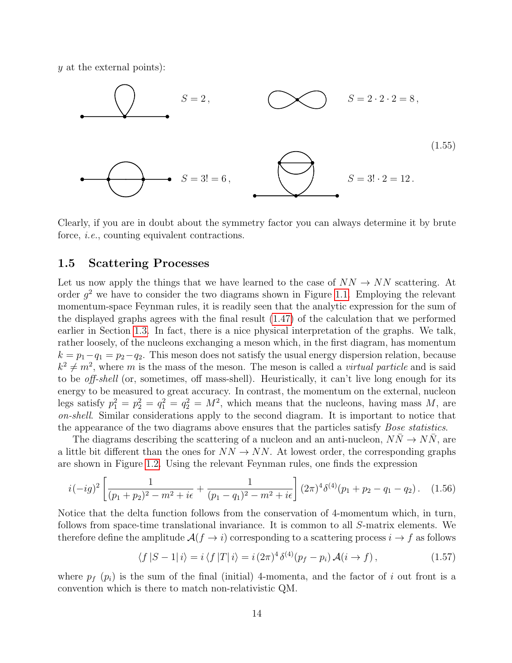y at the external points):



Clearly, if you are in doubt about the symmetry factor you can always determine it by brute force, *i.e.*, counting equivalent contractions.

### 1.5 Scattering Processes

Let us now apply the things that we have learned to the case of  $NN \rightarrow NN$  scattering. At order  $g^2$  we have to consider the two diagrams shown in Figure [1.1.](#page-14-0) Employing the relevant momentum-space Feynman rules, it is readily seen that the analytic expression for the sum of the displayed graphs agrees with the final result [\(1.47\)](#page-9-0) of the calculation that we performed earlier in Section [1.3.](#page-8-3) In fact, there is a nice physical interpretation of the graphs. We talk, rather loosely, of the nucleons exchanging a meson which, in the first diagram, has momentum  $k = p_1 - q_1 = p_2 - q_2$ . This meson does not satisfy the usual energy dispersion relation, because  $k^2 \neq m^2$ , where m is the mass of the meson. The meson is called a *virtual particle* and is said to be off-shell (or, sometimes, off mass-shell). Heuristically, it can't live long enough for its energy to be measured to great accuracy. In contrast, the momentum on the external, nucleon legs satisfy  $p_1^2 = p_2^2 = q_1^2 = q_2^2 = M^2$ , which means that the nucleons, having mass M, are on-shell. Similar considerations apply to the second diagram. It is important to notice that the appearance of the two diagrams above ensures that the particles satisfy *Bose statistics*.

The diagrams describing the scattering of a nucleon and an anti-nucleon,  $NN \rightarrow NN$ , are a little bit different than the ones for  $NN \rightarrow NN$ . At lowest order, the corresponding graphs are shown in Figure [1.2.](#page-15-0) Using the relevant Feynman rules, one finds the expression

<span id="page-13-0"></span>
$$
i(-ig)^2 \left[ \frac{1}{(p_1+p_2)^2 - m^2 + i\epsilon} + \frac{1}{(p_1-q_1)^2 - m^2 + i\epsilon} \right] (2\pi)^4 \delta^{(4)}(p_1+p_2-q_1-q_2). \quad (1.56)
$$

Notice that the delta function follows from the conservation of 4-momentum which, in turn, follows from space-time translational invariance. It is common to all S-matrix elements. We therefore define the amplitude  $\mathcal{A}(f \to i)$  corresponding to a scattering process  $i \to f$  as follows

<span id="page-13-1"></span>
$$
\langle f|S-1|i\rangle = i \langle f|T|i\rangle = i (2\pi)^4 \delta^{(4)}(p_f - p_i) \mathcal{A}(i \to f), \qquad (1.57)
$$

where  $p_f$  ( $p_i$ ) is the sum of the final (initial) 4-momenta, and the factor of i out front is a convention which is there to match non-relativistic QM.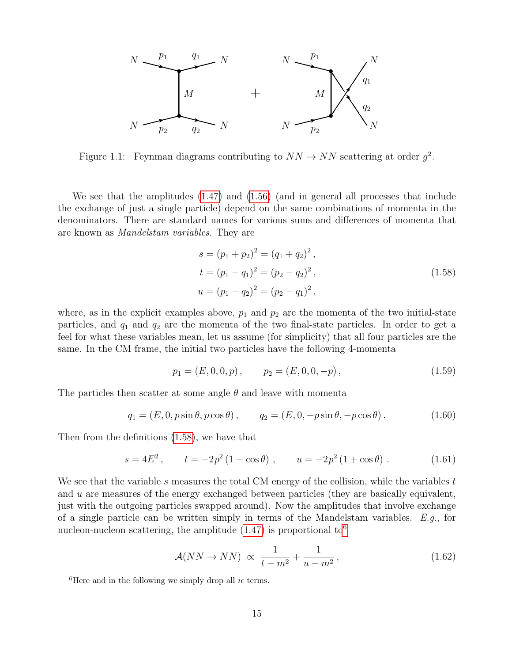

<span id="page-14-0"></span>Figure 1.1: Feynman diagrams contributing to  $NN \rightarrow NN$  scattering at order  $g^2$ .

We see that the amplitudes [\(1.47\)](#page-9-0) and [\(1.56\)](#page-13-0) (and in general all processes that include the exchange of just a single particle) depend on the same combinations of momenta in the denominators. There are standard names for various sums and differences of momenta that are known as Mandelstam variables. They are

$$
s = (p_1 + p_2)^2 = (q_1 + q_2)^2,
$$
  
\n
$$
t = (p_1 - q_1)^2 = (p_2 - q_2)^2,
$$
  
\n
$$
u = (p_1 - q_2)^2 = (p_2 - q_1)^2,
$$
\n(1.58)

<span id="page-14-1"></span>where, as in the explicit examples above,  $p_1$  and  $p_2$  are the momenta of the two initial-state particles, and  $q_1$  and  $q_2$  are the momenta of the two final-state particles. In order to get a feel for what these variables mean, let us assume (for simplicity) that all four particles are the same. In the CM frame, the initial two particles have the following 4-momenta

$$
p_1 = (E, 0, 0, p), \qquad p_2 = (E, 0, 0, -p), \tag{1.59}
$$

The particles then scatter at some angle  $\theta$  and leave with momenta

$$
q_1 = (E, 0, p \sin \theta, p \cos \theta), \qquad q_2 = (E, 0, -p \sin \theta, -p \cos \theta). \tag{1.60}
$$

Then from the definitions [\(1.58\)](#page-14-1), we have that

$$
s = 4E^2
$$
,  $t = -2p^2(1 - \cos \theta)$ ,  $u = -2p^2(1 + \cos \theta)$ . (1.61)

We see that the variable s measures the total CM energy of the collision, while the variables  $t$ and u are measures of the energy exchanged between particles (they are basically equivalent, just with the outgoing particles swapped around). Now the amplitudes that involve exchange of a single particle can be written simply in terms of the Mandelstam variables.  $E.g.,$  for nucleon-nucleon scattering, the amplitude  $(1.47)$  is proportional to<sup>[6](#page-14-2)</sup>

$$
\mathcal{A}(NN \to NN) \propto \frac{1}{t - m^2} + \frac{1}{u - m^2},\tag{1.62}
$$

<span id="page-14-2"></span><sup>&</sup>lt;sup>6</sup>Here and in the following we simply drop all  $i\epsilon$  terms.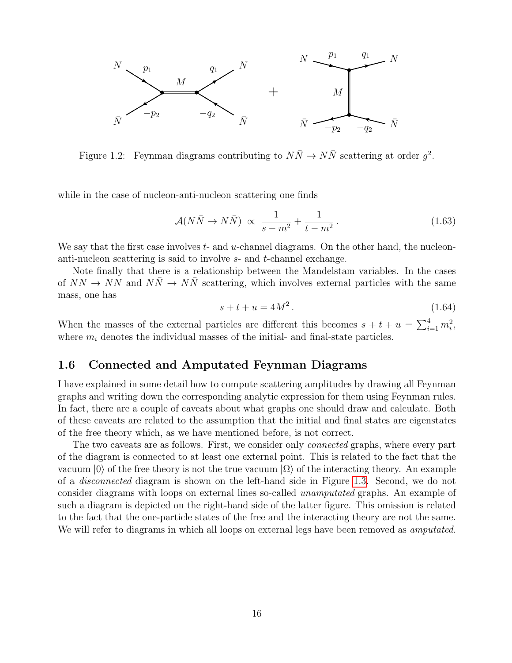

<span id="page-15-0"></span>Figure 1.2: Feynman diagrams contributing to  $N\bar{N} \to N\bar{N}$  scattering at order  $g^2$ .

while in the case of nucleon-anti-nucleon scattering one finds

$$
\mathcal{A}(N\bar{N}\to N\bar{N}) \propto \frac{1}{s-m^2} + \frac{1}{t-m^2} \,. \tag{1.63}
$$

We say that the first case involves  $t$ - and  $u$ -channel diagrams. On the other hand, the nucleonanti-nucleon scattering is said to involve s- and t-channel exchange.

Note finally that there is a relationship between the Mandelstam variables. In the cases of  $NN \rightarrow NN$  and  $N\bar{N} \rightarrow N\bar{N}$  scattering, which involves external particles with the same mass, one has

$$
s + t + u = 4M^2. \t\t(1.64)
$$

When the masses of the external particles are different this becomes  $s + t + u = \sum_{i=1}^{4} m_i^2$ , where  $m_i$  denotes the individual masses of the initial- and final-state particles.

### 1.6 Connected and Amputated Feynman Diagrams

I have explained in some detail how to compute scattering amplitudes by drawing all Feynman graphs and writing down the corresponding analytic expression for them using Feynman rules. In fact, there are a couple of caveats about what graphs one should draw and calculate. Both of these caveats are related to the assumption that the initial and final states are eigenstates of the free theory which, as we have mentioned before, is not correct.

The two caveats are as follows. First, we consider only connected graphs, where every part of the diagram is connected to at least one external point. This is related to the fact that the vacuum  $|0\rangle$  of the free theory is not the true vacuum  $|\Omega\rangle$  of the interacting theory. An example of a disconnected diagram is shown on the left-hand side in Figure [1.3.](#page-16-0) Second, we do not consider diagrams with loops on external lines so-called unamputated graphs. An example of such a diagram is depicted on the right-hand side of the latter figure. This omission is related to the fact that the one-particle states of the free and the interacting theory are not the same. We will refer to diagrams in which all loops on external legs have been removed as *amputated*.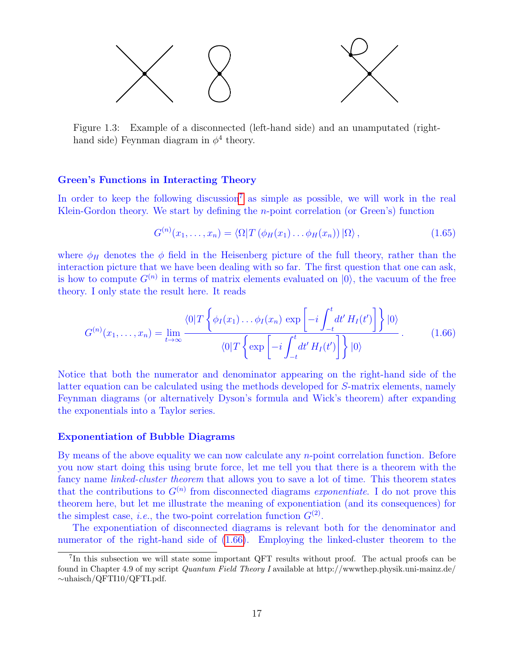

<span id="page-16-0"></span>Figure 1.3: Example of a disconnected (left-hand side) and an unamputated (righthand side) Feynman diagram in  $\phi^4$  theory.

#### Green's Functions in Interacting Theory

In order to keep the following discussion<sup>[7](#page-16-1)</sup> as simple as possible, we will work in the real Klein-Gordon theory. We start by defining the  $n$ -point correlation (or Green's) function

$$
G^{(n)}(x_1,\ldots,x_n) = \langle \Omega | T\left(\phi_H(x_1)\ldots\phi_H(x_n)\right) | \Omega \rangle, \qquad (1.65)
$$

where  $\phi_H$  denotes the  $\phi$  field in the Heisenberg picture of the full theory, rather than the interaction picture that we have been dealing with so far. The first question that one can ask, is how to compute  $G^{(n)}$  in terms of matrix elements evaluated on  $|0\rangle$ , the vacuum of the free theory. I only state the result here. It reads

<span id="page-16-2"></span>
$$
G^{(n)}(x_1,\ldots,x_n) = \lim_{t\to\infty} \frac{\langle 0|T\left\{\phi_I(x_1)\ldots\phi_I(x_n)\,\exp\left[-i\int_{-t}^t dt'\,H_I(t')\right]\right\}|0\rangle}{\langle 0|T\left\{\exp\left[-i\int_{-t}^t dt'\,H_I(t')\right]\right\}|0\rangle}.
$$
 (1.66)

Notice that both the numerator and denominator appearing on the right-hand side of the latter equation can be calculated using the methods developed for S-matrix elements, namely Feynman diagrams (or alternatively Dyson's formula and Wick's theorem) after expanding the exponentials into a Taylor series.

#### Exponentiation of Bubble Diagrams

By means of the above equality we can now calculate any n-point correlation function. Before you now start doing this using brute force, let me tell you that there is a theorem with the fancy name *linked-cluster theorem* that allows you to save a lot of time. This theorem states that the contributions to  $G^{(n)}$  from disconnected diagrams exponentiate. I do not prove this theorem here, but let me illustrate the meaning of exponentiation (and its consequences) for the simplest case, *i.e.*, the two-point correlation function  $G^{(2)}$ .

The exponentiation of disconnected diagrams is relevant both for the denominator and numerator of the right-hand side of [\(1.66\)](#page-16-2). Employing the linked-cluster theorem to the

<span id="page-16-1"></span><sup>&</sup>lt;sup>7</sup>In this subsection we will state some important QFT results without proof. The actual proofs can be found in Chapter 4.9 of my script Quantum Field Theory I available at http://wwwthep.physik.uni-mainz.de/ ∼uhaisch/QFTI10/QFTI.pdf.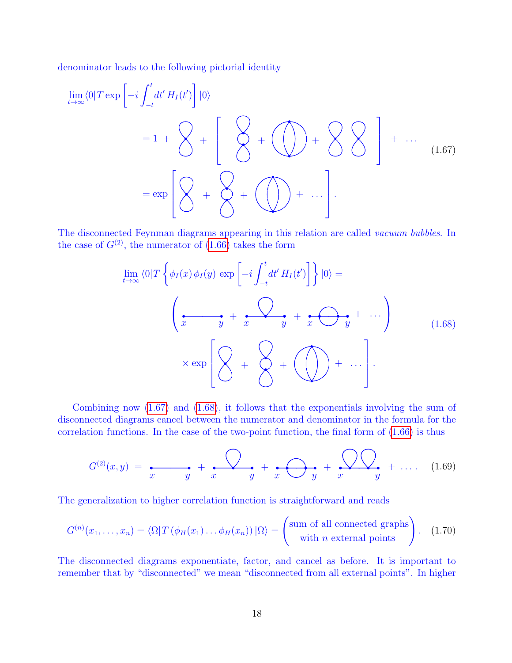denominator leads to the following pictorial identity

<span id="page-17-0"></span>lim t→∞ <sup>h</sup>0|<sup>T</sup> exp −i Z <sup>t</sup> −t dt<sup>0</sup> H<sup>I</sup> (t 0 ) |0i = 1 + + . . . = exp + . . . . (1.67) + + + + +

The disconnected Feynman diagrams appearing in this relation are called vacuum bubbles. In the case of  $G^{(2)}$ , the numerator of [\(1.66\)](#page-16-2) takes the form

$$
\lim_{t \to \infty} \langle 0 | T \left\{ \phi_I(x) \phi_I(y) \exp \left[ -i \int_{-t}^t dt' H_I(t') \right] \right\} | 0 \rangle =
$$
\n
$$
\left( \underbrace{\bullet \bullet \bullet}_{x \exp} + \underbrace{\bullet \bullet \bullet}_{y} + \underbrace{\bullet \bullet \bullet}_{y} + \underbrace{\bullet \bullet \bullet}_{y} + \cdots \right) \tag{1.68}
$$

<span id="page-17-1"></span>Combining now [\(1.67\)](#page-17-0) and [\(1.68\)](#page-17-1), it follows that the exponentials involving the sum of disconnected diagrams cancel between the numerator and denominator in the formula for the correlation functions. In the case of the two-point function, the final form of [\(1.66\)](#page-16-2) is thus

$$
G^{(2)}(x,y) = \frac{1}{x} + \frac{1}{y} + \frac{1}{x} + \frac{1}{y} + \frac{1}{z} + \frac{1}{y} + \dots \quad (1.69)
$$

The generalization to higher correlation function is straightforward and reads

<span id="page-17-2"></span>
$$
G^{(n)}(x_1,\ldots,x_n) = \langle \Omega | T(\phi_H(x_1)\ldots\phi_H(x_n)) | \Omega \rangle = \begin{pmatrix} \text{sum of all connected graphs} \\ \text{with } n \text{ external points} \end{pmatrix}.
$$
 (1.70)

The disconnected diagrams exponentiate, factor, and cancel as before. It is important to remember that by "disconnected" we mean "disconnected from all external points". In higher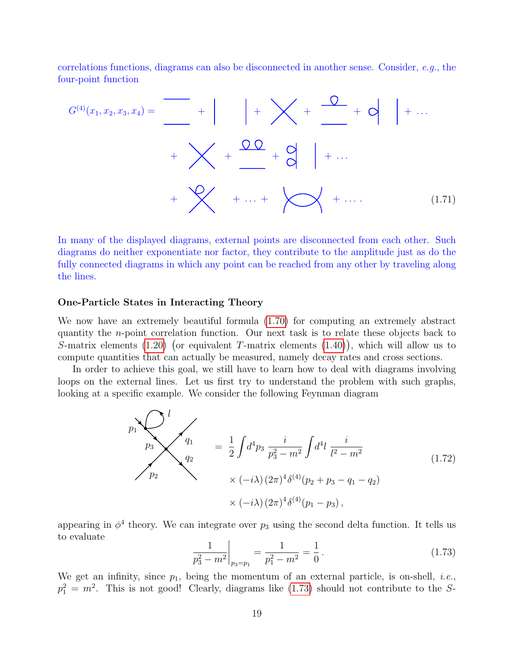correlations functions, diagrams can also be disconnected in another sense. Consider, e.g., the four-point function

G(4)(x1, x2, x3, x4) = (1.71) + + + + + . . . + + + + . . . + + . . . + + . . . .

In many of the displayed diagrams, external points are disconnected from each other. Such diagrams do neither exponentiate nor factor, they contribute to the amplitude just as do the fully connected diagrams in which any point can be reached from any other by traveling along the lines.

#### One-Particle States in Interacting Theory

We now have an extremely beautiful formula [\(1.70\)](#page-17-2) for computing an extremely abstract quantity the n-point correlation function. Our next task is to relate these objects back to S-matrix elements  $(1.20)$  (or equivalent T-matrix elements  $(1.40)$ ), which will allow us to compute quantities that can actually be measured, namely decay rates and cross sections.

In order to achieve this goal, we still have to learn how to deal with diagrams involving loops on the external lines. Let us first try to understand the problem with such graphs, looking at a specific example. We consider the following Feynman diagram

$$
p_1 \begin{cases}\n1 \\
p_2\n\end{cases}\n\begin{cases}\nq_1 \\
q_2\n\end{cases} = \frac{1}{2} \int d^4 p_3 \frac{i}{p_3^2 - m^2} \int d^4 l \frac{i}{l^2 - m^2} \\
\times (-i\lambda) (2\pi)^4 \delta^{(4)}(p_2 + p_3 - q_1 - q_2) \\
\times (-i\lambda) (2\pi)^4 \delta^{(4)}(p_1 - p_3),\n\end{cases} (1.72)
$$

appearing in  $\phi^4$  theory. We can integrate over  $p_3$  using the second delta function. It tells us to evaluate

<span id="page-18-0"></span>
$$
\frac{1}{p_3^2 - m^2} \bigg|_{p_3 = p_1} = \frac{1}{p_1^2 - m^2} = \frac{1}{0} \,. \tag{1.73}
$$

We get an infinity, since  $p_1$ , being the momentum of an external particle, is on-shell, *i.e.*,  $p_1^2 = m^2$ . This is not good! Clearly, diagrams like [\(1.73\)](#page-18-0) should not contribute to the S-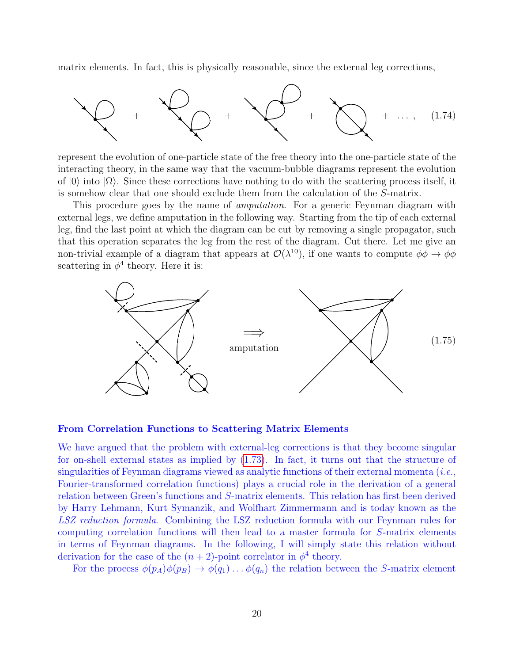matrix elements. In fact, this is physically reasonable, since the external leg corrections,



represent the evolution of one-particle state of the free theory into the one-particle state of the interacting theory, in the same way that the vacuum-bubble diagrams represent the evolution of  $|0\rangle$  into  $|\Omega\rangle$ . Since these corrections have nothing to do with the scattering process itself, it is somehow clear that one should exclude them from the calculation of the S-matrix.

This procedure goes by the name of *amputation*. For a generic Feynman diagram with external legs, we define amputation in the following way. Starting from the tip of each external leg, find the last point at which the diagram can be cut by removing a single propagator, such that this operation separates the leg from the rest of the diagram. Cut there. Let me give an non-trivial example of a diagram that appears at  $\mathcal{O}(\lambda^{10})$ , if one wants to compute  $\phi\phi \to \phi\phi$ scattering in  $\phi^4$  theory. Here it is:



#### From Correlation Functions to Scattering Matrix Elements

We have argued that the problem with external-leg corrections is that they become singular for on-shell external states as implied by [\(1.73\)](#page-18-0). In fact, it turns out that the structure of singularities of Feynman diagrams viewed as analytic functions of their external momenta  $(i.e.,$ Fourier-transformed correlation functions) plays a crucial role in the derivation of a general relation between Green's functions and S-matrix elements. This relation has first been derived by Harry Lehmann, Kurt Symanzik, and Wolfhart Zimmermann and is today known as the LSZ reduction formula. Combining the LSZ reduction formula with our Feynman rules for computing correlation functions will then lead to a master formula for S-matrix elements in terms of Feynman diagrams. In the following, I will simply state this relation without derivation for the case of the  $(n+2)$ -point correlator in  $\phi^4$  theory.

For the process  $\phi(p_A)\phi(p_B) \to \phi(q_1) \dots \phi(q_n)$  the relation between the S-matrix element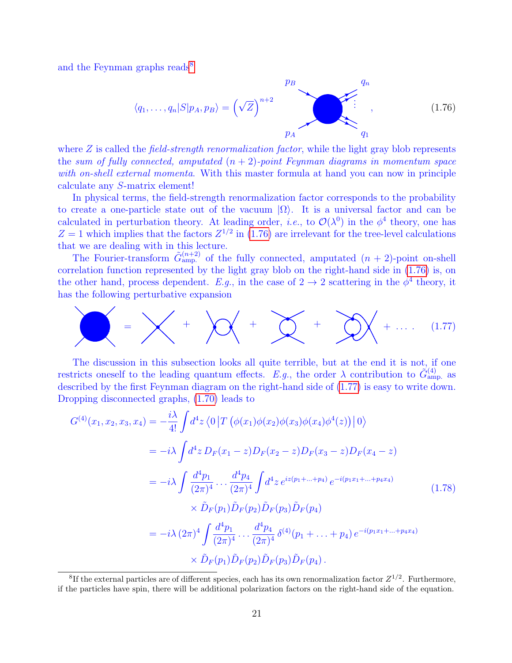and the Feynman graphs reads<sup>[8](#page-20-0)</sup>

<span id="page-20-1"></span>
$$
\langle q_1, \dots, q_n | S | p_A, p_B \rangle = \left(\sqrt{Z}\right)^{n+2} \sum_{p_A}^{p_B} \left(\frac{q_n}{q_1}\right)^{n+2} \left(\frac{1.76}{q_2}\right)^{n+2}
$$

where  $Z$  is called the *field-strength renormalization factor*, while the light gray blob represents the sum of fully connected, amputated  $(n + 2)$ -point Feynman diagrams in momentum space with on-shell external momenta. With this master formula at hand you can now in principle calculate any S-matrix element!

In physical terms, the field-strength renormalization factor corresponds to the probability to create a one-particle state out of the vacuum  $|\Omega\rangle$ . It is a universal factor and can be calculated in perturbation theory. At leading order, *i.e.*, to  $\mathcal{O}(\lambda^0)$  in the  $\phi^4$  theory, one has  $Z = 1$  which implies that the factors  $Z^{1/2}$  in [\(1.76\)](#page-20-1) are irrelevant for the tree-level calculations that we are dealing with in this lecture.

The Fourier-transform  $\tilde{G}_{\rm amp.}^{(n+2)}$  of the fully connected, amputated  $(n + 2)$ -point on-shell correlation function represented by the light gray blob on the right-hand side in [\(1.76\)](#page-20-1) is, on the other hand, process dependent. E.g., in the case of  $2 \rightarrow 2$  scattering in the  $\phi^4$  theory, it has the following perturbative expansion

<span id="page-20-2"></span>

The discussion in this subsection looks all quite terrible, but at the end it is not, if one restricts oneself to the leading quantum effects. E.g., the order  $\lambda$  contribution to  $\tilde{G}^{(4)}_{\text{amp.}}$  as described by the first Feynman diagram on the right-hand side of [\(1.77\)](#page-20-2) is easy to write down. Dropping disconnected graphs, [\(1.70\)](#page-17-2) leads to

<span id="page-20-3"></span>
$$
G^{(4)}(x_1, x_2, x_3, x_4) = -\frac{i\lambda}{4!} \int d^4 z \left\langle 0 \left| T \left( \phi(x_1) \phi(x_2) \phi(x_3) \phi(x_4) \phi^4(z) \right) \right| 0 \right\rangle
$$
  
\n
$$
= -i\lambda \int d^4 z \, D_F(x_1 - z) D_F(x_2 - z) D_F(x_3 - z) D_F(x_4 - z)
$$
  
\n
$$
= -i\lambda \int \frac{d^4 p_1}{(2\pi)^4} \cdots \frac{d^4 p_4}{(2\pi)^4} \int d^4 z \, e^{iz(p_1 + \ldots + p_4)} e^{-i(p_1 x_1 + \ldots + p_4 x_4)}
$$
  
\n
$$
\times \tilde{D}_F(p_1) \tilde{D}_F(p_2) \tilde{D}_F(p_3) \tilde{D}_F(p_4)
$$
  
\n
$$
= -i\lambda (2\pi)^4 \int \frac{d^4 p_1}{(2\pi)^4} \cdots \frac{d^4 p_4}{(2\pi)^4} \delta^{(4)}(p_1 + \ldots + p_4) e^{-i(p_1 x_1 + \ldots + p_4 x_4)}
$$
  
\n
$$
\times \tilde{D}_F(p_1) \tilde{D}_F(p_2) \tilde{D}_F(p_3) \tilde{D}_F(p_4).
$$
 (1.78)

<span id="page-20-0"></span><sup>&</sup>lt;sup>8</sup>If the external particles are of different species, each has its own renormalization factor  $Z^{1/2}$ . Furthermore, if the particles have spin, there will be additional polarization factors on the right-hand side of the equation.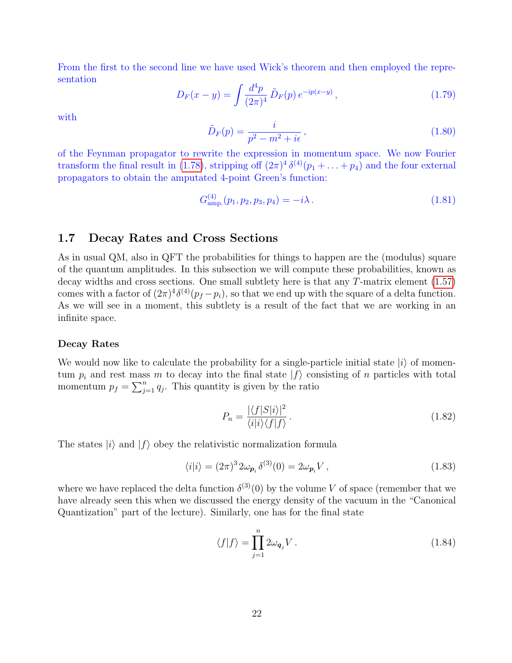From the first to the second line we have used Wick's theorem and then employed the representation

$$
D_F(x - y) = \int \frac{d^4 p}{(2\pi)^4} \tilde{D}_F(p) e^{-ip(x - y)}, \qquad (1.79)
$$

with

$$
\tilde{D}_F(p) = \frac{i}{p^2 - m^2 + i\epsilon},\tag{1.80}
$$

of the Feynman propagator to rewrite the expression in momentum space. We now Fourier transform the final result in [\(1.78\)](#page-20-3), stripping off  $(2\pi)^4 \delta^{(4)}(p_1 + ... + p_4)$  and the four external propagators to obtain the amputated 4-point Green's function:

$$
G_{\rm amp.}^{(4)}(p_1, p_2, p_3, p_4) = -i\lambda. \tag{1.81}
$$

### 1.7 Decay Rates and Cross Sections

As in usual QM, also in QFT the probabilities for things to happen are the (modulus) square of the quantum amplitudes. In this subsection we will compute these probabilities, known as decay widths and cross sections. One small subtlety here is that any  $T$ -matrix element  $(1.57)$ comes with a factor of  $(2\pi)^4 \delta^{(4)}(p_f - p_i)$ , so that we end up with the square of a delta function. As we will see in a moment, this subtlety is a result of the fact that we are working in an infinite space.

#### Decay Rates

We would now like to calculate the probability for a single-particle initial state  $|i\rangle$  of momentum  $p_i$  and rest mass m to decay into the final state  $|f\rangle$  consisting of n particles with total momentum  $p_f = \sum_{j=1}^n q_j$ . This quantity is given by the ratio

$$
P_n = \frac{|\langle f|S|i\rangle|^2}{\langle i|i\rangle\langle f|f\rangle} \,. \tag{1.82}
$$

The states  $|i\rangle$  and  $|f\rangle$  obey the relativistic normalization formula

$$
\langle i|i\rangle = (2\pi)^3 2\omega_{\mathbf{p}_i} \delta^{(3)}(0) = 2\omega_{\mathbf{p}_i} V , \qquad (1.83)
$$

where we have replaced the delta function  $\delta^{(3)}(0)$  by the volume V of space (remember that we have already seen this when we discussed the energy density of the vacuum in the "Canonical Quantization" part of the lecture). Similarly, one has for the final state

$$
\langle f|f\rangle = \prod_{j=1}^{n} 2\omega_{\mathbf{q}_j} V. \tag{1.84}
$$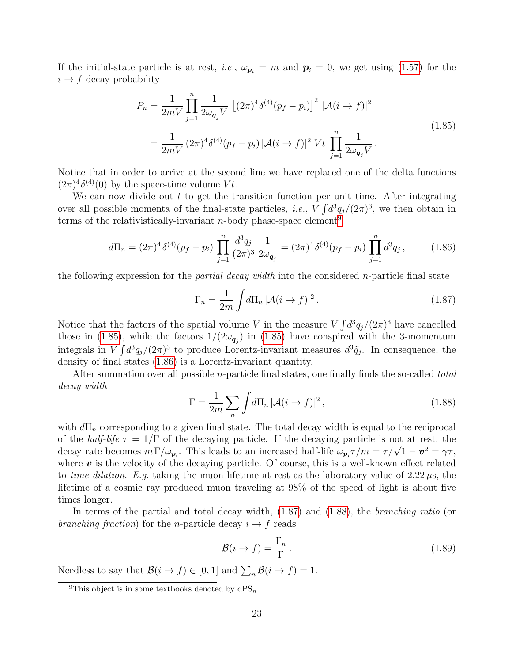If the initial-state particle is at rest, *i.e.*,  $\omega_{p_i} = m$  and  $p_i = 0$ , we get using [\(1.57\)](#page-13-1) for the  $i \rightarrow f$  decay probability

$$
P_n = \frac{1}{2mV} \prod_{j=1}^n \frac{1}{2\omega_{\mathbf{q}_j} V} \left[ (2\pi)^4 \delta^{(4)}(p_f - p_i) \right]^2 |\mathcal{A}(i \to f)|^2
$$
  
= 
$$
\frac{1}{2mV} (2\pi)^4 \delta^{(4)}(p_f - p_i) |\mathcal{A}(i \to f)|^2 Vt \prod_{j=1}^n \frac{1}{2\omega_{\mathbf{q}_j} V}.
$$
 (1.85)

<span id="page-22-1"></span>Notice that in order to arrive at the second line we have replaced one of the delta functions  $(2\pi)^4 \delta^{(4)}(0)$  by the space-time volume Vt.

We can now divide out  $t$  to get the transition function per unit time. After integrating over all possible momenta of the final-state particles, *i.e.*,  $V \int d^3q_j/(2\pi)^3$ , we then obtain in terms of the relativistically-invariant *n*-body phase-space element<sup>[9](#page-22-0)</sup>

<span id="page-22-2"></span>
$$
d\Pi_n = (2\pi)^4 \delta^{(4)}(p_f - p_i) \prod_{j=1}^n \frac{d^3 q_j}{(2\pi)^3} \frac{1}{2\omega_{\mathbf{q}_j}} = (2\pi)^4 \delta^{(4)}(p_f - p_i) \prod_{j=1}^n d^3 \tilde{q}_j ,\qquad (1.86)
$$

the following expression for the *partial decay width* into the considered *n*-particle final state

<span id="page-22-3"></span>
$$
\Gamma_n = \frac{1}{2m} \int d\Pi_n \, |\mathcal{A}(i \to f)|^2 \,. \tag{1.87}
$$

Notice that the factors of the spatial volume V in the measure  $V \int d^3q_j/(2\pi)^3$  have cancelled those in [\(1.85\)](#page-22-1), while the factors  $1/(2\omega_{\mathbf{q}_j})$  in (1.85) have conspired with the 3-momentum integrals in  $V \int d^3q_j/(2\pi)^3$  to produce Lorentz-invariant measures  $d^3\tilde{q}_j$ . In consequence, the density of final states [\(1.86\)](#page-22-2) is a Lorentz-invariant quantity.

After summation over all possible *n*-particle final states, one finally finds the so-called *total* decay width

<span id="page-22-4"></span>
$$
\Gamma = \frac{1}{2m} \sum_{n} \int d\Pi_n \, |\mathcal{A}(i \to f)|^2 \,, \tag{1.88}
$$

with  $d\Pi_n$  corresponding to a given final state. The total decay width is equal to the reciprocal of the *half-life*  $\tau = 1/\Gamma$  of the decaying particle. If the decaying particle is not at rest, the or the *naif-ufe*  $\tau = 1/1$  or the decaying particle. If the decaying particle is not at rest, the decay rate becomes  $m \Gamma/\omega_{p_i}$ . This leads to an increased half-life  $\omega_{p_i} \tau/m = \tau/\sqrt{1-v^2} = \gamma \tau$ , where  $\boldsymbol{v}$  is the velocity of the decaying particle. Of course, this is a well-known effect related to time dilation. E.g. taking the muon lifetime at rest as the laboratory value of  $2.22 \mu s$ , the lifetime of a cosmic ray produced muon traveling at 98% of the speed of light is about five times longer.

In terms of the partial and total decay width, [\(1.87\)](#page-22-3) and [\(1.88\)](#page-22-4), the branching ratio (or branching fraction) for the n-particle decay  $i \rightarrow f$  reads

$$
\mathcal{B}(i \to f) = \frac{\Gamma_n}{\Gamma} \,. \tag{1.89}
$$

Needless to say that  $\mathcal{B}(i \to f) \in [0,1]$  and  $\sum_{n} \mathcal{B}(i \to f) = 1$ .

<span id="page-22-0"></span><sup>&</sup>lt;sup>9</sup>This object is in some textbooks denoted by  $dPS_n$ .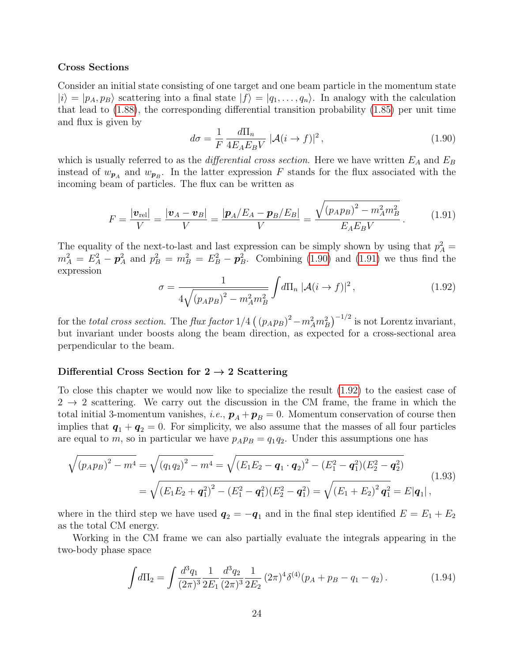#### Cross Sections

Consider an initial state consisting of one target and one beam particle in the momentum state  $|i\rangle = |p_A, p_B\rangle$  scattering into a final state  $|f\rangle = |q_1, \ldots, q_n\rangle$ . In analogy with the calculation that lead to [\(1.88\)](#page-22-4), the corresponding differential transition probability [\(1.85\)](#page-22-1) per unit time and flux is given by

<span id="page-23-0"></span>
$$
d\sigma = \frac{1}{F} \frac{d\Pi_n}{4E_A E_B V} \left[ \mathcal{A}(i \to f) \right]^2, \tag{1.90}
$$

which is usually referred to as the *differential cross section*. Here we have written  $E_A$  and  $E_B$ instead of  $w_{p_A}$  and  $w_{p_B}$ . In the latter expression F stands for the flux associated with the incoming beam of particles. The flux can be written as

$$
F = \frac{|\mathbf{v}_{\text{rel}}|}{V} = \frac{|\mathbf{v}_A - \mathbf{v}_B|}{V} = \frac{|\mathbf{p}_A/E_A - \mathbf{p}_B/E_B|}{V} = \frac{\sqrt{(p_A p_B)^2 - m_A^2 m_B^2}}{E_A E_B V}.
$$
 (1.91)

<span id="page-23-1"></span>The equality of the next-to-last and last expression can be simply shown by using that  $p_A^2 =$  $m_A^2 = E_A^2 - \mathbf{p}_A^2$  and  $p_B^2 = m_B^2 = E_B^2 - \mathbf{p}_B^2$ . Combining [\(1.90\)](#page-23-0) and [\(1.91\)](#page-23-1) we thus find the expression

<span id="page-23-2"></span>
$$
\sigma = \frac{1}{4\sqrt{(p_A p_B)^2 - m_A^2 m_B^2}} \int d\Pi_n \ |\mathcal{A}(i \to f)|^2 \,, \tag{1.92}
$$

for the total cross section. The flux factor  $1/4\left(\left(p_A p_B\right)^2 - m_A^2 m_B^2\right)^{-1/2}$  is not Lorentz invariant, but invariant under boosts along the beam direction, as expected for a cross-sectional area perpendicular to the beam.

#### Differential Cross Section for  $2 \rightarrow 2$  Scattering

To close this chapter we would now like to specialize the result [\(1.92\)](#page-23-2) to the easiest case of  $2 \rightarrow 2$  scattering. We carry out the discussion in the CM frame, the frame in which the total initial 3-momentum vanishes, i.e.,  $\mathbf{p}_A + \mathbf{p}_B = 0$ . Momentum conservation of course then implies that  $q_1 + q_2 = 0$ . For simplicity, we also assume that the masses of all four particles are equal to m, so in particular we have  $p_A p_B = q_1 q_2$ . Under this assumptions one has

<span id="page-23-3"></span>
$$
\sqrt{(p_A p_B)^2 - m^4} = \sqrt{(q_1 q_2)^2 - m^4} = \sqrt{(E_1 E_2 - \boldsymbol{q}_1 \cdot \boldsymbol{q}_2)^2 - (E_1^2 - \boldsymbol{q}_1^2)(E_2^2 - \boldsymbol{q}_2^2)}
$$
\n
$$
= \sqrt{(E_1 E_2 + \boldsymbol{q}_1^2)^2 - (E_1^2 - \boldsymbol{q}_1^2)(E_2^2 - \boldsymbol{q}_1^2)} = \sqrt{(E_1 + E_2)^2 \boldsymbol{q}_1^2} = E|\boldsymbol{q}_1|,
$$
\n(1.93)

where in the third step we have used  $q_2 = -q_1$  and in the final step identified  $E = E_1 + E_2$ as the total CM energy.

Working in the CM frame we can also partially evaluate the integrals appearing in the two-body phase space

$$
\int d\Pi_2 = \int \frac{d^3q_1}{(2\pi)^3} \frac{1}{2E_1} \frac{d^3q_2}{(2\pi)^3} \frac{1}{2E_2} (2\pi)^4 \delta^{(4)}(p_A + p_B - q_1 - q_2).
$$
 (1.94)